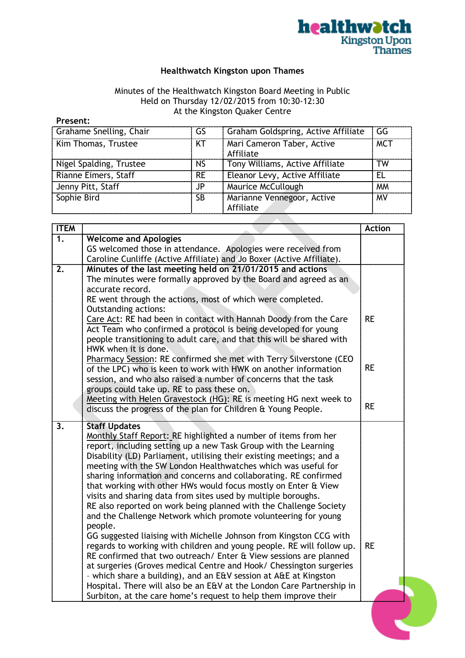

## **Healthwatch Kingston upon Thames**

## Minutes of the Healthwatch Kingston Board Meeting in Public Held on Thursday 12/02/2015 from 10:30-12:30 At the Kingston Quaker Centre

| Present: |
|----------|
|----------|

| Grahame Snelling, Chair | GS        | Graham Goldspring, Active Affiliate     | GG         |
|-------------------------|-----------|-----------------------------------------|------------|
| Kim Thomas, Trustee     | KT        | Mari Cameron Taber, Active<br>Affiliate | <b>MCT</b> |
| Nigel Spalding, Trustee | <b>NS</b> | Tony Williams, Active Affiliate         | TW         |
| Rianne Eimers, Staff    | <b>RE</b> | Eleanor Levy, Active Affiliate          | EL         |
| Jenny Pitt, Staff       | JP        | Maurice McCullough                      | <b>MM</b>  |
| Sophie Bird             | <b>SB</b> | Marianne Vennegoor, Active<br>Affiliate | MV         |

| <b>ITEM</b> |                                                                                                                                          | <b>Action</b> |  |
|-------------|------------------------------------------------------------------------------------------------------------------------------------------|---------------|--|
| 1.          | <b>Welcome and Apologies</b>                                                                                                             |               |  |
|             | GS welcomed those in attendance. Apologies were received from                                                                            |               |  |
|             | Caroline Cunliffe (Active Affiliate) and Jo Boxer (Active Affiliate).                                                                    |               |  |
| 2.          | Minutes of the last meeting held on 21/01/2015 and actions                                                                               |               |  |
|             | The minutes were formally approved by the Board and agreed as an                                                                         |               |  |
|             | accurate record.                                                                                                                         |               |  |
|             | RE went through the actions, most of which were completed.                                                                               |               |  |
|             | <b>Outstanding actions:</b>                                                                                                              |               |  |
|             | Care Act: RE had been in contact with Hannah Doody from the Care<br>Act Team who confirmed a protocol is being developed for young       | <b>RE</b>     |  |
|             | people transitioning to adult care, and that this will be shared with                                                                    |               |  |
|             | HWK when it is done.                                                                                                                     |               |  |
|             | Pharmacy Session: RE confirmed she met with Terry Silverstone (CEO                                                                       |               |  |
|             | of the LPC) who is keen to work with HWK on another information                                                                          | <b>RE</b>     |  |
|             | session, and who also raised a number of concerns that the task                                                                          |               |  |
|             | groups could take up. RE to pass these on.                                                                                               |               |  |
|             | Meeting with Helen Gravestock (HG): RE is meeting HG next week to                                                                        |               |  |
|             | discuss the progress of the plan for Children & Young People.                                                                            | <b>RE</b>     |  |
|             |                                                                                                                                          |               |  |
| 3.          | <b>Staff Updates</b><br>Monthly Staff Report: RE highlighted a number of items from her                                                  |               |  |
|             | report, including setting up a new Task Group with the Learning                                                                          |               |  |
|             | Disability (LD) Parliament, utilising their existing meetings; and a                                                                     |               |  |
|             | meeting with the SW London Healthwatches which was useful for                                                                            |               |  |
|             | sharing information and concerns and collaborating. RE confirmed                                                                         |               |  |
|             | that working with other HWs would focus mostly on Enter & View                                                                           |               |  |
|             | visits and sharing data from sites used by multiple boroughs.                                                                            |               |  |
|             | RE also reported on work being planned with the Challenge Society                                                                        |               |  |
|             | and the Challenge Network which promote volunteering for young                                                                           |               |  |
|             | people.                                                                                                                                  |               |  |
|             | GG suggested liaising with Michelle Johnson from Kingston CCG with                                                                       |               |  |
|             | regards to working with children and young people. RE will follow up.                                                                    | <b>RE</b>     |  |
|             | RE confirmed that two outreach/ Enter & View sessions are planned                                                                        |               |  |
|             | at surgeries (Groves medical Centre and Hook/ Chessington surgeries                                                                      |               |  |
|             | - which share a building), and an E&V session at A&E at Kingston                                                                         |               |  |
|             | Hospital. There will also be an E&V at the London Care Partnership in<br>Surbiton, at the care home's request to help them improve their |               |  |
|             |                                                                                                                                          |               |  |
|             |                                                                                                                                          |               |  |
|             |                                                                                                                                          |               |  |
|             |                                                                                                                                          |               |  |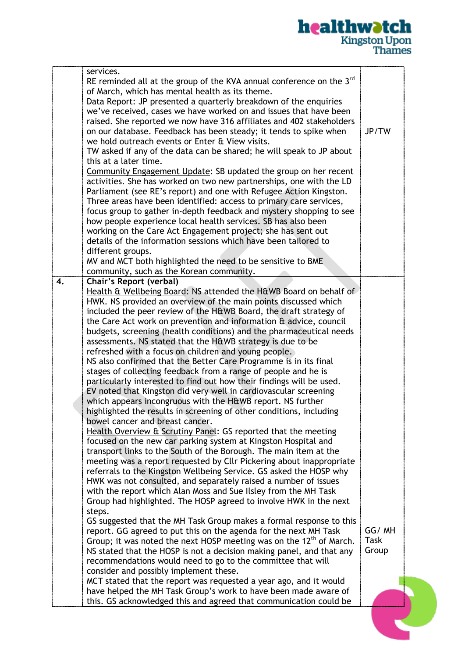## **healthwatch**<br>Kingston Upon<br>Thames

|    | services.<br>RE reminded all at the group of the KVA annual conference on the $3rd$<br>of March, which has mental health as its theme.<br>Data Report: JP presented a quarterly breakdown of the enquiries<br>we've received, cases we have worked on and issues that have been<br>raised. She reported we now have 316 affiliates and 402 stakeholders<br>on our database. Feedback has been steady; it tends to spike when<br>we hold outreach events or Enter & View visits.<br>TW asked if any of the data can be shared; he will speak to JP about<br>this at a later time.<br>Community Engagement Update: SB updated the group on her recent<br>activities. She has worked on two new partnerships, one with the LD<br>Parliament (see RE's report) and one with Refugee Action Kingston.<br>Three areas have been identified: access to primary care services,<br>focus group to gather in-depth feedback and mystery shopping to see<br>how people experience local health services. SB has also been<br>working on the Care Act Engagement project; she has sent out<br>details of the information sessions which have been tailored to<br>different groups.<br>MV and MCT both highlighted the need to be sensitive to BME<br>community, such as the Korean community.                                                                                                                                                                                                                                                                                                                                                                                                                                                                                                                                                                                                                                                                                                                                                                                                                                                                              | JP/TW                  |  |
|----|----------------------------------------------------------------------------------------------------------------------------------------------------------------------------------------------------------------------------------------------------------------------------------------------------------------------------------------------------------------------------------------------------------------------------------------------------------------------------------------------------------------------------------------------------------------------------------------------------------------------------------------------------------------------------------------------------------------------------------------------------------------------------------------------------------------------------------------------------------------------------------------------------------------------------------------------------------------------------------------------------------------------------------------------------------------------------------------------------------------------------------------------------------------------------------------------------------------------------------------------------------------------------------------------------------------------------------------------------------------------------------------------------------------------------------------------------------------------------------------------------------------------------------------------------------------------------------------------------------------------------------------------------------------------------------------------------------------------------------------------------------------------------------------------------------------------------------------------------------------------------------------------------------------------------------------------------------------------------------------------------------------------------------------------------------------------------------------------------------------------------------------------------------------|------------------------|--|
| 4. | Chair's Report (verbal)<br>Health & Wellbeing Board: NS attended the H&WB Board on behalf of<br>HWK. NS provided an overview of the main points discussed which<br>included the peer review of the H&WB Board, the draft strategy of<br>the Care Act work on prevention and information & advice, council<br>budgets, screening (health conditions) and the pharmaceutical needs<br>assessments. NS stated that the H&WB strategy is due to be<br>refreshed with a focus on children and young people.<br>NS also confirmed that the Better Care Programme is in its final<br>stages of collecting feedback from a range of people and he is<br>particularly interested to find out how their findings will be used.<br>EV noted that Kingston did very well in cardiovascular screening<br>which appears incongruous with the H&WB report. NS further<br>highlighted the results in screening of other conditions, including<br>bowel cancer and breast cancer.<br>Health Overview & Scrutiny Panel: GS reported that the meeting<br>focused on the new car parking system at Kingston Hospital and<br>transport links to the South of the Borough. The main item at the<br>meeting was a report requested by Cllr Pickering about inappropriate<br>referrals to the Kingston Wellbeing Service. GS asked the HOSP why<br>HWK was not consulted, and separately raised a number of issues<br>with the report which Alan Moss and Sue Ilsley from the MH Task<br>Group had highlighted. The HOSP agreed to involve HWK in the next<br>steps.<br>GS suggested that the MH Task Group makes a formal response to this<br>report. GG agreed to put this on the agenda for the next MH Task<br>Group; it was noted the next HOSP meeting was on the $12th$ of March.<br>NS stated that the HOSP is not a decision making panel, and that any<br>recommendations would need to go to the committee that will<br>consider and possibly implement these.<br>MCT stated that the report was requested a year ago, and it would<br>have helped the MH Task Group's work to have been made aware of<br>this. GS acknowledged this and agreed that communication could be | GG/MH<br>Task<br>Group |  |
|    |                                                                                                                                                                                                                                                                                                                                                                                                                                                                                                                                                                                                                                                                                                                                                                                                                                                                                                                                                                                                                                                                                                                                                                                                                                                                                                                                                                                                                                                                                                                                                                                                                                                                                                                                                                                                                                                                                                                                                                                                                                                                                                                                                                |                        |  |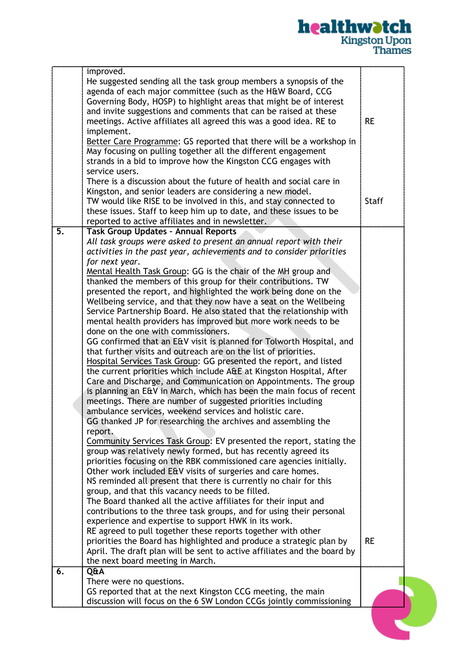## **healthwatch**<br>Kingston Upon<br>Thames

|    | improved.                                                                                                                                                                                                                                                                                                                                                                                                                                                                                                                                                                                                                                                                                                                                                                                                                                                                                                                                                                                                                                                                                                                                                                                                                                                                                                                                                                                                                                                                                                                                                                                                                                                                                                                                                                                                                                                                                                                                                                                                                                                                                                                                                                            |              |  |
|----|--------------------------------------------------------------------------------------------------------------------------------------------------------------------------------------------------------------------------------------------------------------------------------------------------------------------------------------------------------------------------------------------------------------------------------------------------------------------------------------------------------------------------------------------------------------------------------------------------------------------------------------------------------------------------------------------------------------------------------------------------------------------------------------------------------------------------------------------------------------------------------------------------------------------------------------------------------------------------------------------------------------------------------------------------------------------------------------------------------------------------------------------------------------------------------------------------------------------------------------------------------------------------------------------------------------------------------------------------------------------------------------------------------------------------------------------------------------------------------------------------------------------------------------------------------------------------------------------------------------------------------------------------------------------------------------------------------------------------------------------------------------------------------------------------------------------------------------------------------------------------------------------------------------------------------------------------------------------------------------------------------------------------------------------------------------------------------------------------------------------------------------------------------------------------------------|--------------|--|
|    | He suggested sending all the task group members a synopsis of the<br>agenda of each major committee (such as the H&W Board, CCG<br>Governing Body, HOSP) to highlight areas that might be of interest<br>and invite suggestions and comments that can be raised at these<br>meetings. Active affiliates all agreed this was a good idea. RE to<br>implement.<br>Better Care Programme: GS reported that there will be a workshop in<br>May focusing on pulling together all the different engagement<br>strands in a bid to improve how the Kingston CCG engages with<br>service users.                                                                                                                                                                                                                                                                                                                                                                                                                                                                                                                                                                                                                                                                                                                                                                                                                                                                                                                                                                                                                                                                                                                                                                                                                                                                                                                                                                                                                                                                                                                                                                                              | <b>RE</b>    |  |
|    | There is a discussion about the future of health and social care in<br>Kingston, and senior leaders are considering a new model.<br>TW would like RISE to be involved in this, and stay connected to<br>these issues. Staff to keep him up to date, and these issues to be<br>reported to active affiliates and in newsletter.                                                                                                                                                                                                                                                                                                                                                                                                                                                                                                                                                                                                                                                                                                                                                                                                                                                                                                                                                                                                                                                                                                                                                                                                                                                                                                                                                                                                                                                                                                                                                                                                                                                                                                                                                                                                                                                       | <b>Staff</b> |  |
| 5. | <b>Task Group Updates - Annual Reports</b><br>All task groups were asked to present an annual report with their<br>activities in the past year, achievements and to consider priorities<br>for next year.<br>Mental Health Task Group: GG is the chair of the MH group and<br>thanked the members of this group for their contributions. TW<br>presented the report, and highlighted the work being done on the<br>Wellbeing service, and that they now have a seat on the Wellbeing<br>Service Partnership Board. He also stated that the relationship with<br>mental health providers has improved but more work needs to be<br>done on the one with commissioners.<br>GG confirmed that an E&V visit is planned for Tolworth Hospital, and<br>that further visits and outreach are on the list of priorities.<br>Hospital Services Task Group: GG presented the report, and listed<br>the current priorities which include A&E at Kingston Hospital, After<br>Care and Discharge, and Communication on Appointments. The group<br>is planning an E&V in March, which has been the main focus of recent<br>meetings. There are number of suggested priorities including<br>ambulance services, weekend services and holistic care.<br>GG thanked JP for researching the archives and assembling the<br>report.<br>Community Services Task Group: EV presented the report, stating the<br>group was relatively newly formed, but has recently agreed its<br>priorities focusing on the RBK commissioned care agencies initially.<br>Other work included E&V visits of surgeries and care homes.<br>NS reminded all present that there is currently no chair for this<br>group, and that this vacancy needs to be filled.<br>The Board thanked all the active affiliates for their input and<br>contributions to the three task groups, and for using their personal<br>experience and expertise to support HWK in its work.<br>RE agreed to pull together these reports together with other<br>priorities the Board has highlighted and produce a strategic plan by<br>April. The draft plan will be sent to active affiliates and the board by<br>the next board meeting in March. | <b>RE</b>    |  |
| 6. | Q&A<br>There were no questions.<br>GS reported that at the next Kingston CCG meeting, the main                                                                                                                                                                                                                                                                                                                                                                                                                                                                                                                                                                                                                                                                                                                                                                                                                                                                                                                                                                                                                                                                                                                                                                                                                                                                                                                                                                                                                                                                                                                                                                                                                                                                                                                                                                                                                                                                                                                                                                                                                                                                                       |              |  |
|    | discussion will focus on the 6 SW London CCGs jointly commissioning                                                                                                                                                                                                                                                                                                                                                                                                                                                                                                                                                                                                                                                                                                                                                                                                                                                                                                                                                                                                                                                                                                                                                                                                                                                                                                                                                                                                                                                                                                                                                                                                                                                                                                                                                                                                                                                                                                                                                                                                                                                                                                                  |              |  |